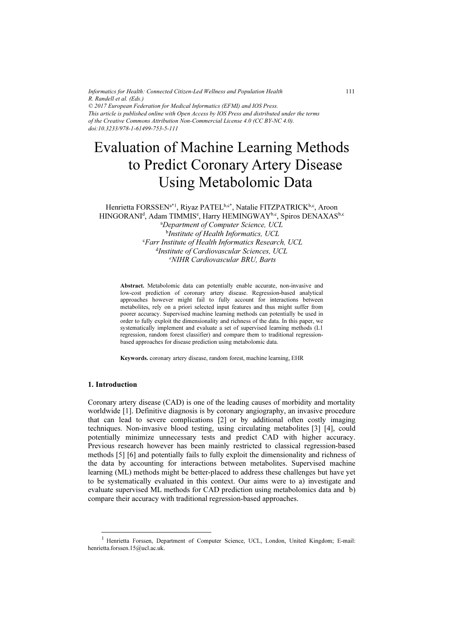*Informatics for Health: Connected Citizen-Led Wellness and Population Health R. Randell et al. (Eds.) © 2017 European Federation for Medical Informatics (EFMI) and IOS Press. This article is published online with Open Access by IOS Press and distributed under the terms of the Creative Commons Attribution Non-Commercial License 4.0 (CC BY-NC 4.0). doi:10.3233/978-1-61499-753-5-111*

# Evaluation of Machine Learning Methods to Predict Coronary Artery Disease Using Metabolomic Data

Henrietta FORSSEN<sup>a\*1</sup>, Riyaz PATEL<sup>b,c\*</sup>, Natalie FITZPATRICK<sup>b,c</sup>, Aroon HINGORANI<sup>d</sup>, Adam TIMMIS<sup>e</sup>, Harry HEMINGWAY<sup>b,c</sup>, Spiros DENAXAS<sup>b,c</sup>

a Department of Computer Science, UCL <sup>b</sup>Institute of Health Informatics, UCL c Farr Institute of Health Informatics Research, UCL d Institute of Cardiovascular Sciences, UCL e NIHR Cardiovascular BRU, Barts

Abstract. Metabolomic data can potentially enable accurate, non-invasive and low-cost prediction of coronary artery disease. Regression-based analytical approaches however might fail to fully account for interactions between metabolites, rely on a priori selected input features and thus might suffer from poorer accuracy. Supervised machine learning methods can potentially be used in order to fully exploit the dimensionality and richness of the data. In this paper, we systematically implement and evaluate a set of supervised learning methods (L1 regression, random forest classifier) and compare them to traditional regressionbased approaches for disease prediction using metabolomic data.

Keywords. coronary artery disease, random forest, machine learning, EHR

#### 1. Introduction

-

Coronary artery disease (CAD) is one of the leading causes of morbidity and mortality worldwide [1]. Definitive diagnosis is by coronary angiography, an invasive procedure that can lead to severe complications [2] or by additional often costly imaging techniques. Non-invasive blood testing, using circulating metabolites [3] [4], could potentially minimize unnecessary tests and predict CAD with higher accuracy. Previous research however has been mainly restricted to classical regression-based methods [5] [6] and potentially fails to fully exploit the dimensionality and richness of the data by accounting for interactions between metabolites. Supervised machine learning (ML) methods might be better-placed to address these challenges but have yet to be systematically evaluated in this context. Our aims were to a) investigate and evaluate supervised ML methods for CAD prediction using metabolomics data and b) compare their accuracy with traditional regression-based approaches.

<sup>&</sup>lt;sup>1</sup> Henrietta Forssen, Department of Computer Science, UCL, London, United Kingdom; E-mail: henrietta.forssen.15@ucl.ac.uk.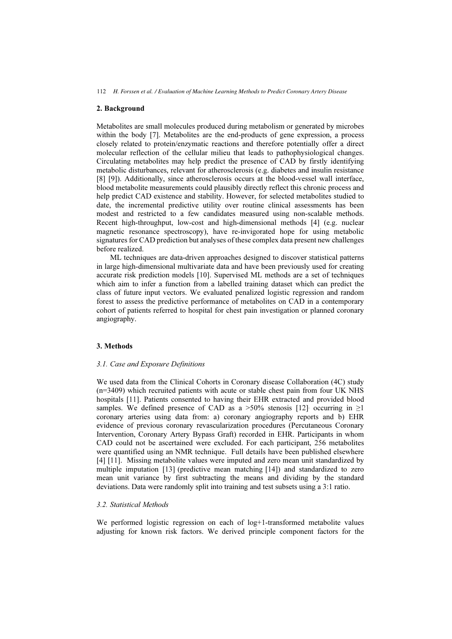# 2. Background

Metabolites are small molecules produced during metabolism or generated by microbes within the body [7]. Metabolites are the end-products of gene expression, a process closely related to protein/enzymatic reactions and therefore potentially offer a direct molecular reflection of the cellular milieu that leads to pathophysiological changes. Circulating metabolites may help predict the presence of CAD by firstly identifying metabolic disturbances, relevant for atherosclerosis (e.g. diabetes and insulin resistance [8] [9]). Additionally, since atherosclerosis occurs at the blood-vessel wall interface, blood metabolite measurements could plausibly directly reflect this chronic process and help predict CAD existence and stability. However, for selected metabolites studied to date, the incremental predictive utility over routine clinical assessments has been modest and restricted to a few candidates measured using non-scalable methods. Recent high-throughput, low-cost and high-dimensional methods [4] (e.g. nuclear magnetic resonance spectroscopy), have re-invigorated hope for using metabolic signatures for CAD prediction but analyses of these complex data present new challenges before realized.

ML techniques are data-driven approaches designed to discover statistical patterns in large high-dimensional multivariate data and have been previously used for creating accurate risk prediction models [10]. Supervised ML methods are a set of techniques which aim to infer a function from a labelled training dataset which can predict the class of future input vectors. We evaluated penalized logistic regression and random forest to assess the predictive performance of metabolites on CAD in a contemporary cohort of patients referred to hospital for chest pain investigation or planned coronary angiography.

# 3. Methods

## 3.1. Case and Exposure Definitions

We used data from the Clinical Cohorts in Coronary disease Collaboration (4C) study (n=3409) which recruited patients with acute or stable chest pain from four UK NHS hospitals [11]. Patients consented to having their EHR extracted and provided blood samples. We defined presence of CAD as a  $>50\%$  stenosis [12] occurring in  $\geq$ 1 coronary arteries using data from: a) coronary angiography reports and b) EHR evidence of previous coronary revascularization procedures (Percutaneous Coronary Intervention, Coronary Artery Bypass Graft) recorded in EHR. Participants in whom CAD could not be ascertained were excluded. For each participant, 256 metabolites were quantified using an NMR technique. Full details have been published elsewhere [4] [11]. Missing metabolite values were imputed and zero mean unit standardized by multiple imputation [13] (predictive mean matching [14]) and standardized to zero mean unit variance by first subtracting the means and dividing by the standard deviations. Data were randomly split into training and test subsets using a 3:1 ratio.

## 3.2. Statistical Methods

We performed logistic regression on each of log+1-transformed metabolite values adjusting for known risk factors. We derived principle component factors for the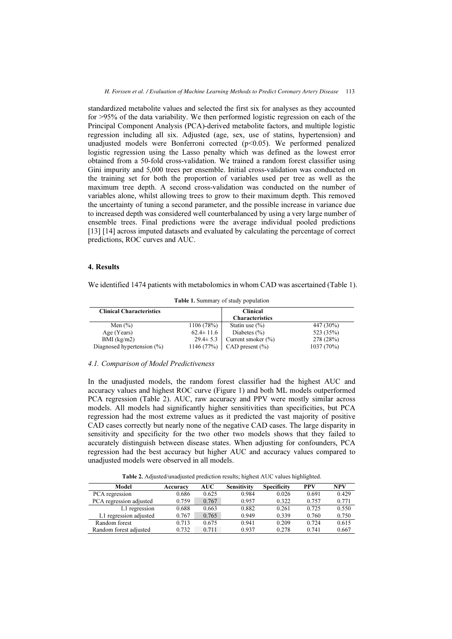standardized metabolite values and selected the first six for analyses as they accounted for >95% of the data variability. We then performed logistic regression on each of the Principal Component Analysis (PCA)-derived metabolite factors, and multiple logistic regression including all six. Adjusted (age, sex, use of statins, hypertension) and unadjusted models were Bonferroni corrected  $(p<0.05)$ . We performed penalized logistic regression using the Lasso penalty which was defined as the lowest error obtained from a 50-fold cross-validation. We trained a random forest classifier using Gini impurity and 5,000 trees per ensemble. Initial cross-validation was conducted on the training set for both the proportion of variables used per tree as well as the maximum tree depth. A second cross-validation was conducted on the number of variables alone, whilst allowing trees to grow to their maximum depth. This removed the uncertainty of tuning a second parameter, and the possible increase in variance due to increased depth was considered well counterbalanced by using a very large number of ensemble trees. Final predictions were the average individual pooled predictions [13] [14] across imputed datasets and evaluated by calculating the percentage of correct predictions, ROC curves and AUC.

## 4. Results

We identified 1474 patients with metabolomics in whom CAD was ascertained (Table 1).

| <b>Clinical Characteristics</b> |                 | <b>Clinical</b><br><b>Characteristics</b> |              |
|---------------------------------|-----------------|-------------------------------------------|--------------|
| Men $(\% )$                     | 1106(78%)       | Statin use $(\% )$                        | 447 (30%)    |
| Age (Years)                     | $62.4 \pm 11.6$ | Diabetes $(\% )$                          | 523 (35%)    |
| $BMI$ (kg/m2)                   | $29.4 \pm 5.3$  | Current smoker $(\% )$                    | 278 (28%)    |
| Diagnosed hypertension $(\% )$  | 1146(77%)       | $\mathsf{CAD}$ present $\mathcal{O}_0$    | $1037(70\%)$ |

Table 1. Summary of study population

## 4.1. Comparison of Model Predictiveness

In the unadjusted models, the random forest classifier had the highest AUC and accuracy values and highest ROC curve (Figure 1) and both ML models outperformed PCA regression (Table 2). AUC, raw accuracy and PPV were mostly similar across models. All models had significantly higher sensitivities than specificities, but PCA regression had the most extreme values as it predicted the vast majority of positive CAD cases correctly but nearly none of the negative CAD cases. The large disparity in sensitivity and specificity for the two other two models shows that they failed to accurately distinguish between disease states. When adjusting for confounders, PCA regression had the best accuracy but higher AUC and accuracy values compared to unadjusted models were observed in all models.

Table 2. Adjusted/unadjusted prediction results; highest AUC values highlighted.

| Model                   | Accuracy | AUC   | <b>Sensitivity</b> | <b>Specificity</b> | <b>PPV</b> | <b>NPV</b> |
|-------------------------|----------|-------|--------------------|--------------------|------------|------------|
| PCA regression          | 0.686    | 0.625 | 0.984              | 0.026              | 0.691      | 0.429      |
| PCA regression adjusted | 0.759    | 0.767 | 0.957              | 0.322              | 0.757      | 0.771      |
| L1 regression           | 0.688    | 0.663 | 0.882              | 0.261              | 0.725      | 0.550      |
| L1 regression adjusted  | 0.767    | 0.765 | 0.949              | 0.339              | 0.760      | 0.750      |
| Random forest           | 0.713    | 0.675 | 0.941              | 0.209              | 0.724      | 0.615      |
| Random forest adjusted  | 0.732    | 0.711 | 0.937              | 0.278              | 0.741      | 0.667      |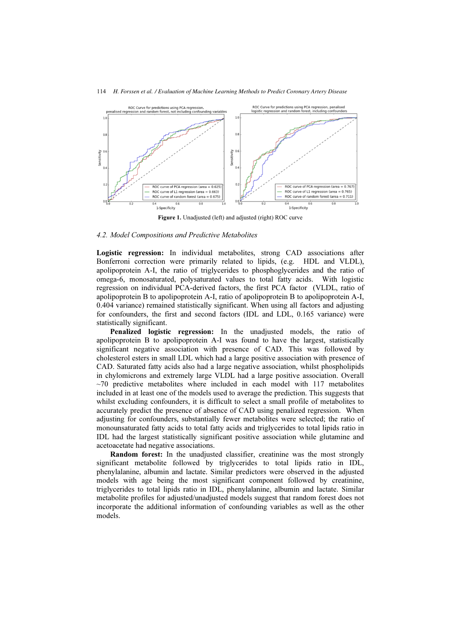

Figure 1. Unadjusted (left) and adjusted (right) ROC curve

#### 4.2. Model Compositions and Predictive Metabolites

Logistic regression: In individual metabolites, strong CAD associations after Bonferroni correction were primarily related to lipids, (e.g. HDL and VLDL), apolipoprotein A-I, the ratio of triglycerides to phosphoglycerides and the ratio of omega-6, monosaturated, polysaturated values to total fatty acids. With logistic regression on individual PCA-derived factors, the first PCA factor (VLDL, ratio of apolipoprotein B to apolipoprotein A-I, ratio of apolipoprotein B to apolipoprotein A-I, 0.404 variance) remained statistically significant. When using all factors and adjusting for confounders, the first and second factors (IDL and LDL, 0.165 variance) were statistically significant.

Penalized logistic regression: In the unadjusted models, the ratio of apolipoprotein B to apolipoprotein A-I was found to have the largest, statistically significant negative association with presence of CAD. This was followed by cholesterol esters in small LDL which had a large positive association with presence of CAD. Saturated fatty acids also had a large negative association, whilst phospholipids in chylomicrons and extremely large VLDL had a large positive association. Overall  $\sim$ 70 predictive metabolites where included in each model with 117 metabolites included in at least one of the models used to average the prediction. This suggests that whilst excluding confounders, it is difficult to select a small profile of metabolites to accurately predict the presence of absence of CAD using penalized regression. When adjusting for confounders, substantially fewer metabolites were selected; the ratio of monounsaturated fatty acids to total fatty acids and triglycerides to total lipids ratio in IDL had the largest statistically significant positive association while glutamine and acetoacetate had negative associations.

Random forest: In the unadjusted classifier, creatinine was the most strongly significant metabolite followed by triglycerides to total lipids ratio in IDL, phenylalanine, albumin and lactate. Similar predictors were observed in the adjusted models with age being the most significant component followed by creatinine, triglycerides to total lipids ratio in IDL, phenylalanine, albumin and lactate. Similar metabolite profiles for adjusted/unadjusted models suggest that random forest does not incorporate the additional information of confounding variables as well as the other models.